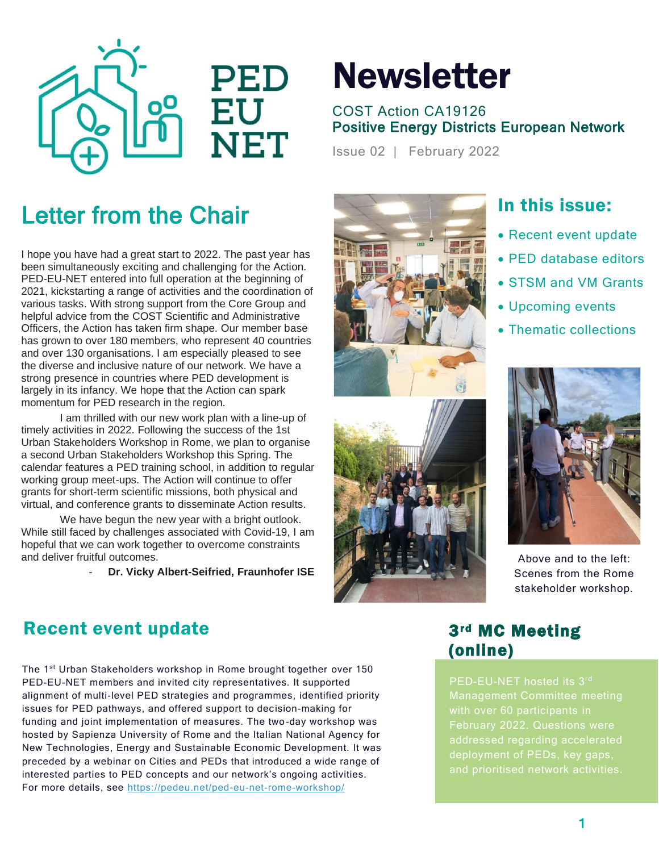

# **Newsletter**

#### COST Action CA19126 Positive Energy Districts European Network

Issue 02 | February 2022

## Letter from the Chair

I hope you have had a great start to 2022. The past year has been simultaneously exciting and challenging for the Action. PED-EU-NET entered into full operation at the beginning of 2021, kickstarting a range of activities and the coordination of various tasks. With strong support from the Core Group and helpful advice from the COST Scientific and Administrative Officers, the Action has taken firm shape. Our member base has grown to over 180 members, who represent 40 countries and over 130 organisations. I am especially pleased to see the diverse and inclusive nature of our network. We have a strong presence in countries where PED development is largely in its infancy. We hope that the Action can spark momentum for PED research in the region.

I am thrilled with our new work plan with a line-up of timely activities in 2022. Following the success of the 1st Urban Stakeholders Workshop in Rome, we plan to organise a second Urban Stakeholders Workshop this Spring. The calendar features a PED training school, in addition to regular working group meet-ups. The Action will continue to offer grants for short-term scientific missions, both physical and virtual, and conference grants to disseminate Action results.

We have begun the new year with a bright outlook. While still faced by challenges associated with Covid-19, I am hopeful that we can work together to overcome constraints and deliver fruitful outcomes.

- **Dr. Vicky Albert-Seifried, Fraunhofer ISE**





## In this issue:

- Recent event update
- PED database editors
- STSM and VM Grants
- Upcoming events
- Thematic collections



Above and to the left: Scenes from the Rome stakeholder workshop.

#### Recent event update 3rd MC Meeting

The 1<sup>st</sup> Urban Stakeholders workshop in Rome brought together over 150 PED-EU-NET members and invited city representatives. It supported alignment of multi-level PED strategies and programmes, identified priority issues for PED pathways, and offered support to decision-making for funding and joint implementation of measures. The two-day workshop was hosted by Sapienza University of Rome and the Italian National Agency for New Technologies, Energy and Sustainable Economic Development. It was preceded by a webinar on Cities and PEDs that introduced a wide range of interested parties to PED concepts and our network's ongoing activities. For more details, see<https://pedeu.net/ped-eu-net-rome-workshop/>

# (online)

PED-EU-NET hosted its 3rd Management Committee meeting with over 60 participants in February 2022. Questions were deployment of PEDs, key gaps,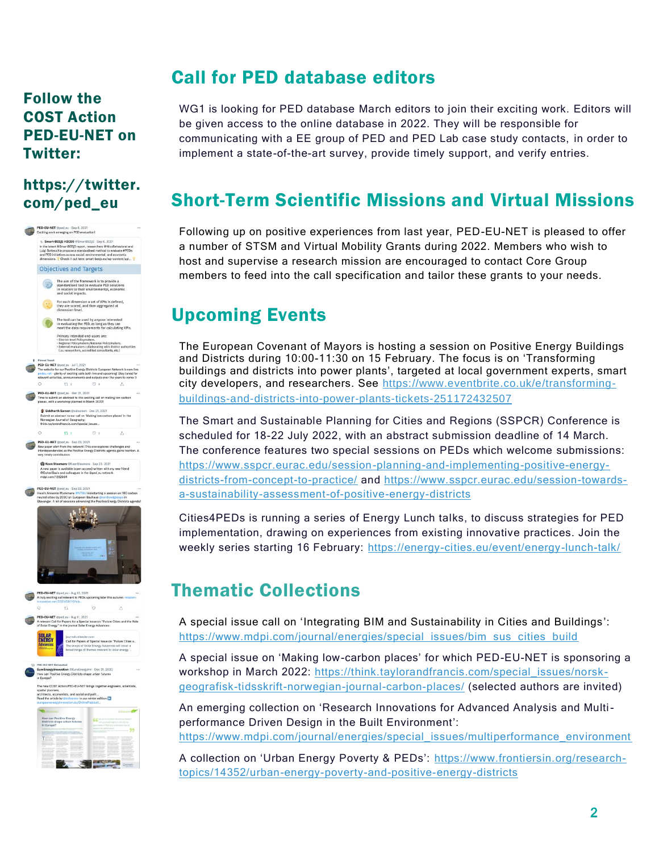#### Follow the COST Action PED-EU-NET on Twitter:

#### [https://twitter.](https://twitter.com/ped_eu) [com/ped\\_eu](https://twitter.com/ped_eu)



## Call for PED database editors

WG1 is looking for PED database March editors to join their exciting work. Editors will be given access to the online database in 2022. They will be responsible for communicating with a EE group of PED and PED Lab case study contacts, in order to implement a state-of-the-art survey, provide timely support, and verify entries.

## Short-Term Scientific Missions and Virtual Missions

Following up on positive experiences from last year, PED-EU-NET is pleased to offer a number of STSM and Virtual Mobility Grants during 2022. Members who wish to host and supervise a research mission are encouraged to contact Core Group members to feed into the call specification and tailor these grants to your needs.

## Upcoming Events

The European Covenant of Mayors is hosting a session on Positive Energy Buildings and Districts during 10:00-11:30 on 15 February. The focus is on 'Transforming buildings and districts into power plants', targeted at local government experts, smart city developers, and researchers. See [https://www.eventbrite.co.uk/e/transforming](https://www.eventbrite.co.uk/e/transforming-buildings-and-districts-into-power-plants-tickets-251172432507)[buildings-and-districts-into-power-plants-tickets-251172432507](https://www.eventbrite.co.uk/e/transforming-buildings-and-districts-into-power-plants-tickets-251172432507)

The Smart and Sustainable Planning for Cities and Regions (SSPCR) Conference is scheduled for 18-22 July 2022, with an abstract submission deadline of 14 March. The conference features two special sessions on PEDs which welcome submissions: [https://www.sspcr.eurac.edu/session-planning-and-implementing-positive-energy](https://www.sspcr.eurac.edu/session-planning-and-implementing-positive-energy-districts-from-concept-to-practice/)[districts-from-concept-to-practice/](https://www.sspcr.eurac.edu/session-planning-and-implementing-positive-energy-districts-from-concept-to-practice/) and [https://www.sspcr.eurac.edu/session-towards](https://www.sspcr.eurac.edu/session-towards-a-sustainability-assessment-of-positive-energy-districts)[a-sustainability-assessment-of-positive-energy-districts](https://www.sspcr.eurac.edu/session-towards-a-sustainability-assessment-of-positive-energy-districts)

Cities4PEDs is running a series of Energy Lunch talks, to discuss strategies for PED implementation, drawing on experiences from existing innovative practices. Join the weekly series starting 16 February:<https://energy-cities.eu/event/energy-lunch-talk/>

## Thematic Collections

A special issue call on 'Integrating BIM and Sustainability in Cities and Buildings': [https://www.mdpi.com/journal/energies/special\\_issues/bim\\_sus\\_cities\\_build](https://www.mdpi.com/journal/energies/special_issues/bim_sus_cities_build)

A special issue on 'Making low-carbon places' for which PED-EU-NET is sponsoring a workshop in March 2022: [https://think.taylorandfrancis.com/special\\_issues/norsk](https://think.taylorandfrancis.com/special_issues/norsk-geografisk-tidsskrift-norwegian-journal-carbon-places/)[geografisk-tidsskrift-norwegian-journal-carbon-places/](https://think.taylorandfrancis.com/special_issues/norsk-geografisk-tidsskrift-norwegian-journal-carbon-places/) (selected authors are invited)

An emerging collection on 'Research Innovations for Advanced Analysis and Multiperformance Driven Design in the Built Environment': [https://www.mdpi.com/journal/energies/special\\_issues/multiperformance\\_environment](https://www.mdpi.com/journal/energies/special_issues/multiperformance_environment)

A collection on 'Urban Energy Poverty & PEDs': [https://www.frontiersin.org/research](https://www.frontiersin.org/research-topics/14352/urban-energy-poverty-and-positive-energy-districts)[topics/14352/urban-energy-poverty-and-positive-energy-districts](https://www.frontiersin.org/research-topics/14352/urban-energy-poverty-and-positive-energy-districts)